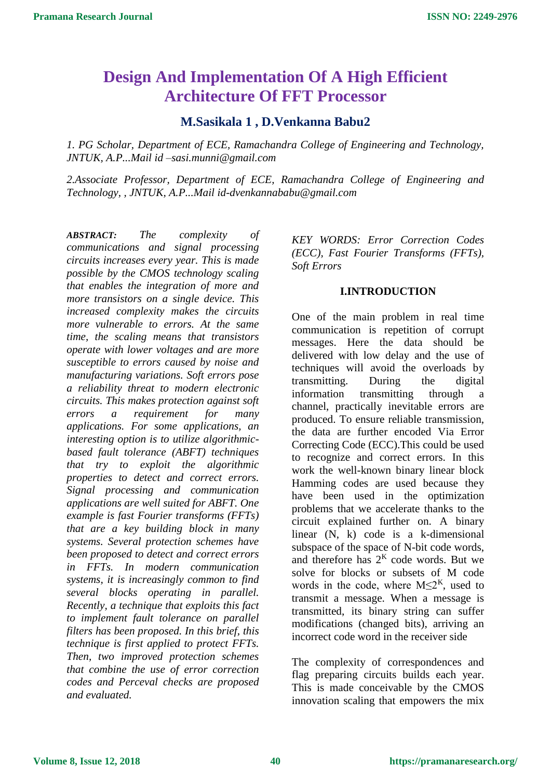# **Design And Implementation Of A High Efficient Architecture Of FFT Processor**

# **M.Sasikala 1 , D.Venkanna Babu2**

*1. PG Scholar, Department of ECE, Ramachandra College of Engineering and Technology, JNTUK, A.P...Mail id –sasi.munni@gmail.com*

*2.Associate Professor, Department of ECE, Ramachandra College of Engineering and Technology, , JNTUK, A.P...Mail id-dvenkannababu@gmail.com*

*ABSTRACT: The complexity of communications and signal processing circuits increases every year. This is made possible by the CMOS technology scaling that enables the integration of more and more transistors on a single device. This increased complexity makes the circuits more vulnerable to errors. At the same time, the scaling means that transistors operate with lower voltages and are more susceptible to errors caused by noise and manufacturing variations. Soft errors pose a reliability threat to modern electronic circuits. This makes protection against soft errors a requirement for many applications. For some applications, an interesting option is to utilize algorithmicbased fault tolerance (ABFT) techniques that try to exploit the algorithmic properties to detect and correct errors. Signal processing and communication applications are well suited for ABFT. One example is fast Fourier transforms (FFTs) that are a key building block in many systems. Several protection schemes have been proposed to detect and correct errors in FFTs. In modern communication systems, it is increasingly common to find several blocks operating in parallel. Recently, a technique that exploits this fact to implement fault tolerance on parallel filters has been proposed. In this brief, this technique is first applied to protect FFTs. Then, two improved protection schemes that combine the use of error correction codes and Perceval checks are proposed and evaluated.*

*KEY WORDS: Error Correction Codes (ECC), Fast Fourier Transforms (FFTs), Soft Errors*

## **I.INTRODUCTION**

One of the main problem in real time communication is repetition of corrupt messages. Here the data should be delivered with low delay and the use of techniques will avoid the overloads by transmitting. During the digital information transmitting through a channel, practically inevitable errors are produced. To ensure reliable transmission, the data are further encoded Via Error Correcting Code (ECC).This could be used to recognize and correct errors. In this work the well-known binary linear block Hamming codes are used because they have been used in the optimization problems that we accelerate thanks to the circuit explained further on. A binary linear (N, k) code is a k-dimensional subspace of the space of N-bit code words, and therefore has  $2<sup>K</sup>$  code words. But we solve for blocks or subsets of M code words in the code, where  $M \leq 2^{K}$ , used to transmit a message. When a message is transmitted, its binary string can suffer modifications (changed bits), arriving an incorrect code word in the receiver side

The complexity of correspondences and flag preparing circuits builds each year. This is made conceivable by the CMOS innovation scaling that empowers the mix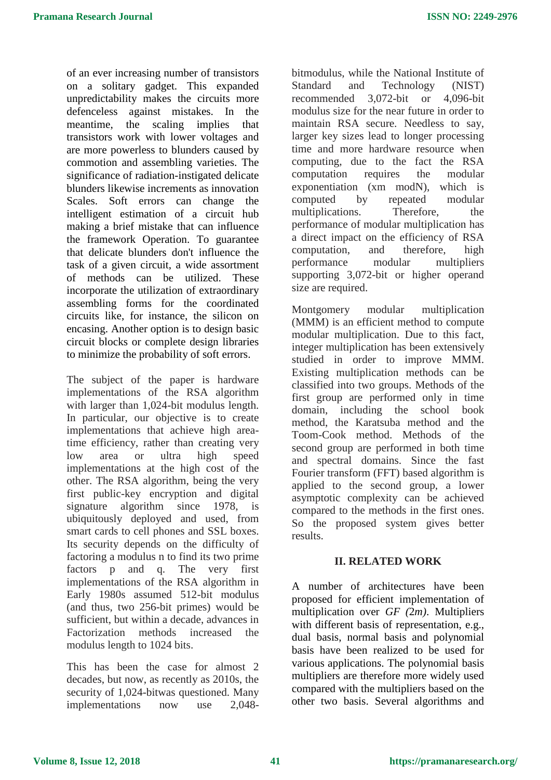of an ever increasing number of transistors on a solitary gadget. This expanded unpredictability makes the circuits more defenceless against mistakes. In the meantime, the scaling implies that transistors work with lower voltages and are more powerless to blunders caused by commotion and assembling varieties. The significance of radiation-instigated delicate blunders likewise increments as innovation Scales. Soft errors can change the intelligent estimation of a circuit hub making a brief mistake that can influence the framework Operation. To guarantee that delicate blunders don't influence the task of a given circuit, a wide assortment of methods can be utilized. These incorporate the utilization of extraordinary assembling forms for the coordinated circuits like, for instance, the silicon on encasing. Another option is to design basic circuit blocks or complete design libraries to minimize the probability of soft errors.

The subject of the paper is hardware implementations of the RSA algorithm with larger than 1,024-bit modulus length. In particular, our objective is to create implementations that achieve high areatime efficiency, rather than creating very low area or ultra high speed implementations at the high cost of the other. The RSA algorithm, being the very first public-key encryption and digital signature algorithm since 1978, is ubiquitously deployed and used, from smart cards to cell phones and SSL boxes. Its security depends on the difficulty of factoring a modulus n to find its two prime factors p and q. The very first implementations of the RSA algorithm in Early 1980s assumed 512-bit modulus (and thus, two 256-bit primes) would be sufficient, but within a decade, advances in Factorization methods increased the modulus length to 1024 bits.

This has been the case for almost 2 decades, but now, as recently as 2010s, the security of 1,024-bitwas questioned. Many implementations now use 2,048-

bitmodulus, while the National Institute of Standard and Technology (NIST) recommended 3,072-bit or 4,096-bit modulus size for the near future in order to maintain RSA secure. Needless to say, larger key sizes lead to longer processing time and more hardware resource when computing, due to the fact the RSA computation requires the modular exponentiation (xm modN), which is computed by repeated modular multiplications. Therefore, the performance of modular multiplication has a direct impact on the efficiency of RSA computation, and therefore, high performance modular multipliers supporting 3,072-bit or higher operand size are required.

Montgomery modular multiplication (MMM) is an efficient method to compute modular multiplication. Due to this fact, integer multiplication has been extensively studied in order to improve MMM. Existing multiplication methods can be classified into two groups. Methods of the first group are performed only in time domain, including the school book method, the Karatsuba method and the Toom-Cook method. Methods of the second group are performed in both time and spectral domains. Since the fast Fourier transform (FFT) based algorithm is applied to the second group, a lower asymptotic complexity can be achieved compared to the methods in the first ones. So the proposed system gives better results.

## **II. RELATED WORK**

A number of architectures have been proposed for efficient implementation of multiplication over *GF (*2*m)*. Multipliers with different basis of representation, e.g., dual basis, normal basis and polynomial basis have been realized to be used for various applications. The polynomial basis multipliers are therefore more widely used compared with the multipliers based on the other two basis. Several algorithms and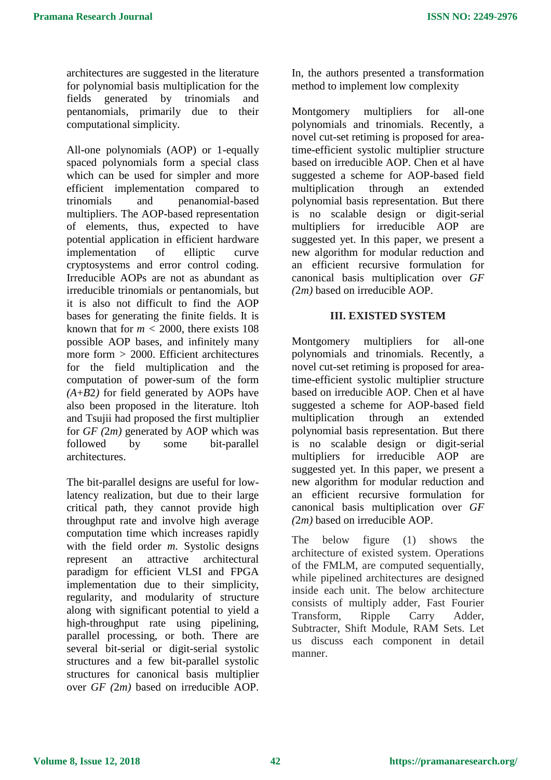architectures are suggested in the literature for polynomial basis multiplication for the fields generated by trinomials and pentanomials, primarily due to their computational simplicity.

All-one polynomials (AOP) or 1-equally spaced polynomials form a special class which can be used for simpler and more efficient implementation compared to trinomials and penanomial-based multipliers. The AOP-based representation of elements, thus, expected to have potential application in efficient hardware implementation of elliptic curve cryptosystems and error control coding. Irreducible AOPs are not as abundant as irreducible trinomials or pentanomials, but it is also not difficult to find the AOP bases for generating the finite fields. It is known that for  $m < 2000$ , there exists 108 possible AOP bases, and infinitely many more form *>* 2000. Efficient architectures for the field multiplication and the computation of power-sum of the form *(A*+*B*2*)* for field generated by AOPs have also been proposed in the literature. ltoh and Tsujii had proposed the first multiplier for *GF (*2*m)* generated by AOP which was followed by some bit-parallel architectures.

The bit-parallel designs are useful for lowlatency realization, but due to their large critical path, they cannot provide high throughput rate and involve high average computation time which increases rapidly with the field order *m*. Systolic designs represent an attractive architectural paradigm for efficient VLSI and FPGA implementation due to their simplicity, regularity, and modularity of structure along with significant potential to yield a high-throughput rate using pipelining, parallel processing, or both. There are several bit-serial or digit-serial systolic structures and a few bit-parallel systolic structures for canonical basis multiplier over *GF (*2*m)* based on irreducible AOP.

In, the authors presented a transformation method to implement low complexity

Montgomery multipliers for all-one polynomials and trinomials. Recently, a novel cut-set retiming is proposed for areatime-efficient systolic multiplier structure based on irreducible AOP. Chen et al have suggested a scheme for AOP-based field multiplication through an extended polynomial basis representation. But there is no scalable design or digit-serial multipliers for irreducible AOP are suggested yet. In this paper, we present a new algorithm for modular reduction and an efficient recursive formulation for canonical basis multiplication over *GF (*2*m)* based on irreducible AOP.

# **III. EXISTED SYSTEM**

Montgomery multipliers for all-one polynomials and trinomials. Recently, a novel cut-set retiming is proposed for areatime-efficient systolic multiplier structure based on irreducible AOP. Chen et al have suggested a scheme for AOP-based field multiplication through an extended polynomial basis representation. But there is no scalable design or digit-serial multipliers for irreducible AOP are suggested yet. In this paper, we present a new algorithm for modular reduction and an efficient recursive formulation for canonical basis multiplication over *GF (*2*m)* based on irreducible AOP.

The below figure (1) shows the architecture of existed system. Operations of the FMLM, are computed sequentially, while pipelined architectures are designed inside each unit. The below architecture consists of multiply adder, Fast Fourier Transform, Ripple Carry Adder, Subtracter, Shift Module, RAM Sets. Let us discuss each component in detail manner.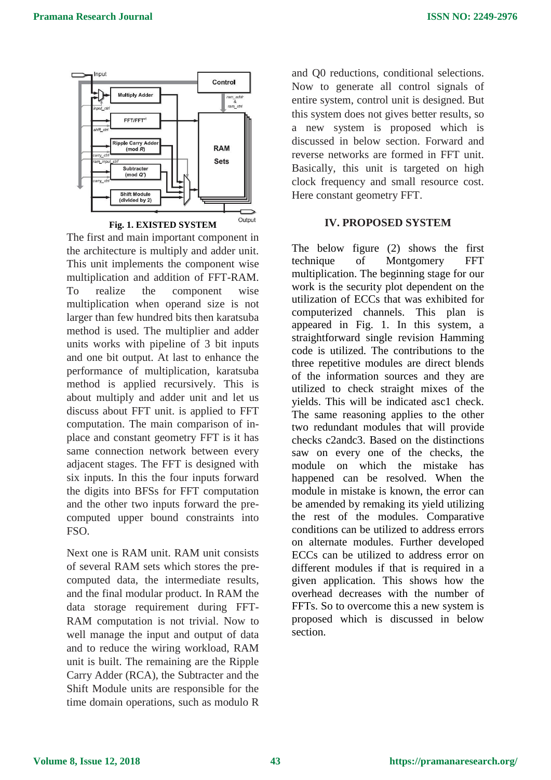

The first and main important component in the architecture is multiply and adder unit. This unit implements the component wise multiplication and addition of FFT-RAM. To realize the component wise multiplication when operand size is not larger than few hundred bits then karatsuba method is used. The multiplier and adder units works with pipeline of 3 bit inputs and one bit output. At last to enhance the performance of multiplication, karatsuba method is applied recursively. This is about multiply and adder unit and let us discuss about FFT unit. is applied to FFT computation. The main comparison of inplace and constant geometry FFT is it has same connection network between every adjacent stages. The FFT is designed with six inputs. In this the four inputs forward the digits into BFSs for FFT computation and the other two inputs forward the precomputed upper bound constraints into FSO.

Next one is RAM unit. RAM unit consists of several RAM sets which stores the precomputed data, the intermediate results, and the final modular product. In RAM the data storage requirement during FFT-RAM computation is not trivial. Now to well manage the input and output of data and to reduce the wiring workload, RAM unit is built. The remaining are the Ripple Carry Adder (RCA), the Subtracter and the Shift Module units are responsible for the time domain operations, such as modulo R

and Q0 reductions, conditional selections. Now to generate all control signals of entire system, control unit is designed. But this system does not gives better results, so a new system is proposed which is discussed in below section. Forward and reverse networks are formed in FFT unit. Basically, this unit is targeted on high clock frequency and small resource cost. Here constant geometry FFT.

# **IV. PROPOSED SYSTEM**

The below figure (2) shows the first technique of Montgomery FFT multiplication. The beginning stage for our work is the security plot dependent on the utilization of ECCs that was exhibited for computerized channels. This plan is appeared in Fig. 1. In this system, a straightforward single revision Hamming code is utilized. The contributions to the three repetitive modules are direct blends of the information sources and they are utilized to check straight mixes of the yields. This will be indicated asc1 check. The same reasoning applies to the other two redundant modules that will provide checks c2andc3. Based on the distinctions saw on every one of the checks, the module on which the mistake has happened can be resolved. When the module in mistake is known, the error can be amended by remaking its yield utilizing the rest of the modules. Comparative conditions can be utilized to address errors on alternate modules. Further developed ECCs can be utilized to address error on different modules if that is required in a given application. This shows how the overhead decreases with the number of FFTs. So to overcome this a new system is proposed which is discussed in below section.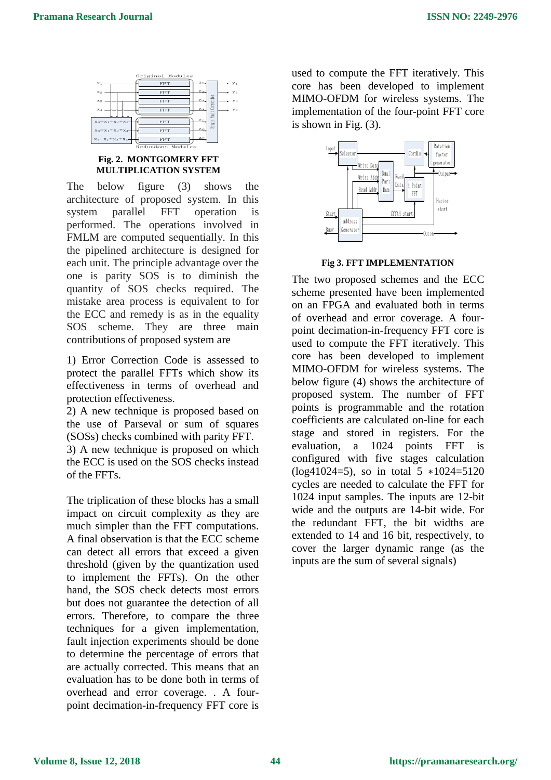

#### **Fig. 2. MONTGOMERY FFT MULTIPLICATION SYSTEM**

The below figure (3) shows the architecture of proposed system. In this system parallel FFT operation is performed. The operations involved in FMLM are computed sequentially. In this the pipelined architecture is designed for each unit. The principle advantage over the one is parity SOS is to diminish the quantity of SOS checks required. The mistake area process is equivalent to for the ECC and remedy is as in the equality SOS scheme. They are three main contributions of proposed system are

1) Error Correction Code is assessed to protect the parallel FFTs which show its effectiveness in terms of overhead and protection effectiveness.

2) A new technique is proposed based on the use of Parseval or sum of squares (SOSs) checks combined with parity FFT.

3) A new technique is proposed on which the ECC is used on the SOS checks instead of the FFTs.

The triplication of these blocks has a small impact on circuit complexity as they are much simpler than the FFT computations. A final observation is that the ECC scheme can detect all errors that exceed a given threshold (given by the quantization used to implement the FFTs). On the other hand, the SOS check detects most errors but does not guarantee the detection of all errors. Therefore, to compare the three techniques for a given implementation, fault injection experiments should be done to determine the percentage of errors that are actually corrected. This means that an evaluation has to be done both in terms of overhead and error coverage. . A fourpoint decimation-in-frequency FFT core is

used to compute the FFT iteratively. This core has been developed to implement MIMO-OFDM for wireless systems. The implementation of the four-point FFT core is shown in Fig. (3).



#### **Fig 3. FFT IMPLEMENTATION**

The two proposed schemes and the ECC scheme presented have been implemented on an FPGA and evaluated both in terms of overhead and error coverage. A fourpoint decimation-in-frequency FFT core is used to compute the FFT iteratively. This core has been developed to implement MIMO-OFDM for wireless systems. The below figure (4) shows the architecture of proposed system. The number of FFT points is programmable and the rotation coefficients are calculated on-line for each stage and stored in registers. For the evaluation, a 1024 points FFT is configured with five stages calculation (log41024=5), so in total 5 ∗1024=5120 cycles are needed to calculate the FFT for 1024 input samples. The inputs are 12-bit wide and the outputs are 14-bit wide. For the redundant FFT, the bit widths are extended to 14 and 16 bit, respectively, to cover the larger dynamic range (as the inputs are the sum of several signals)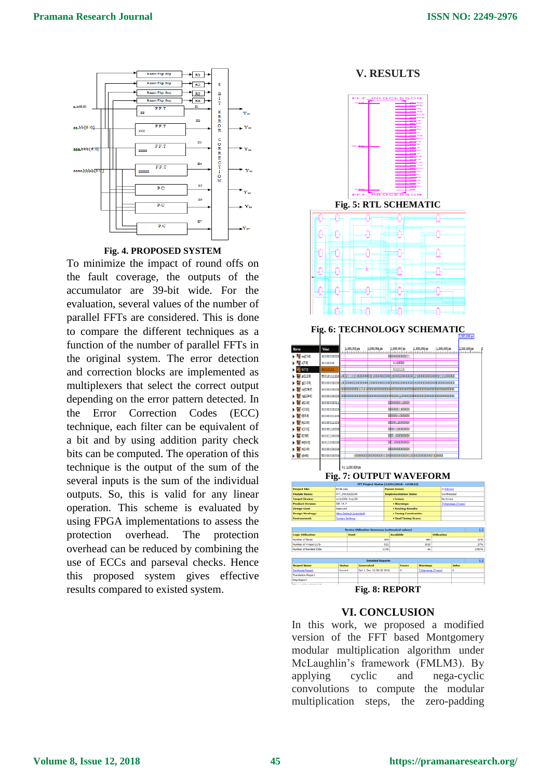

#### **Fig. 4. PROPOSED SYSTEM**

To minimize the impact of round offs on the fault coverage, the outputs of the accumulator are 39-bit wide. For the evaluation, several values of the number of parallel FFTs are considered. This is done to compare the different techniques as a function of the number of parallel FFTs in the original system. The error detection and correction blocks are implemented as multiplexers that select the correct output depending on the error pattern detected. In the Error Correction Codes (ECC) technique, each filter can be equivalent of a bit and by using addition parity check bits can be computed. The operation of this technique is the output of the sum of the several inputs is the sum of the individual outputs. So, this is valid for any linear operation. This scheme is evaluated by using FPGA implementations to assess the protection overhead. The protection overhead can be reduced by combining the use of ECCs and parseval checks. Hence this proposed system gives effective results compared to existed system.

**V. RESULTS**



#### **VI. CONCLUSION**

In this work, we proposed a modified version of the FFT based Montgomery modular multiplication algorithm under McLaughlin's framework (FMLM3). By applying cyclic and nega-cyclic convolutions to compute the modular multiplication steps, the zero-padding